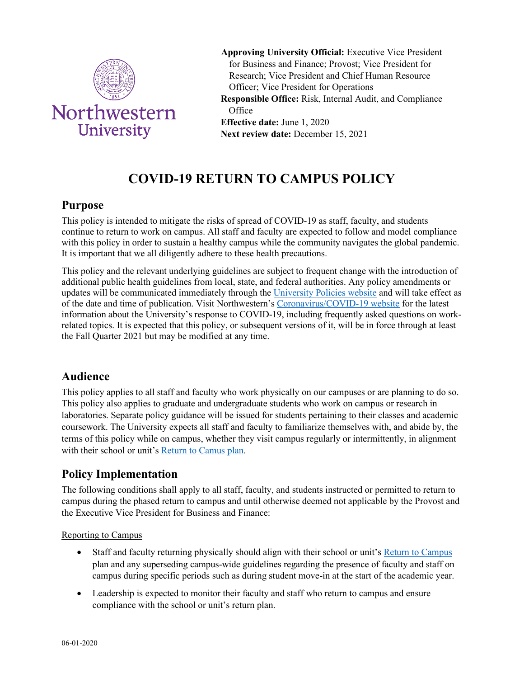

**Approving University Official:** Executive Vice President for Business and Finance; Provost; Vice President for Research; Vice President and Chief Human Resource Officer; Vice President for Operations **Responsible Office:** Risk, Internal Audit, and Compliance **Office Effective date:** June 1, 2020 **Next review date:** December 15, 2021

# **COVID-19 RETURN TO CAMPUS POLICY**

## **Purpose**

This policy is intended to mitigate the risks of spread of COVID-19 as staff, faculty, and students continue to return to work on campus. All staff and faculty are expected to follow and model compliance with this policy in order to sustain a healthy campus while the community navigates the global pandemic. It is important that we all diligently adhere to these health precautions.

This policy and the relevant underlying guidelines are subject to frequent change with the introduction of additional public health guidelines from local, state, and federal authorities. Any policy amendments or updates will be communicated immediately through th[e University Policies website](https://policies.northwestern.edu/index.html) and will take effect as of the date and time of publication. Visit Northwestern'[s Coronavirus/COVID-19 website](https://www.northwestern.edu/coronavirus-covid-19-updates/) for the latest information about the University's response to COVID-19, including frequently asked questions on workrelated topics. It is expected that this policy, or subsequent versions of it, will be in force through at least the Fall Quarter 2021 but may be modified at any time.

## **Audience**

This policy applies to all staff and faculty who work physically on our campuses or are planning to do so. This policy also applies to graduate and undergraduate students who work on campus or research in laboratories. Separate policy guidance will be issued for students pertaining to their classes and academic coursework. The University expects all staff and faculty to familiarize themselves with, and abide by, the terms of this policy while on campus, whether they visit campus regularly or intermittently, in alignment with their school or unit's [Return to Camus plan.](https://www.northwestern.edu/coronavirus-covid-19-updates/university-status/prepare/index.html)

## **Policy Implementation**

The following conditions shall apply to all staff, faculty, and students instructed or permitted to return to campus during the phased return to campus and until otherwise deemed not applicable by the Provost and the Executive Vice President for Business and Finance:

### Reporting to Campus

- Staff and faculty returning physically should align with their school or unit's [Return to Campus](https://www.northwestern.edu/coronavirus-covid-19-updates/university-status/prepare/index.html) plan and any superseding campus-wide guidelines regarding the presence of faculty and staff on campus during specific periods such as during student move-in at the start of the academic year.
- Leadership is expected to monitor their faculty and staff who return to campus and ensure compliance with the school or unit's return plan.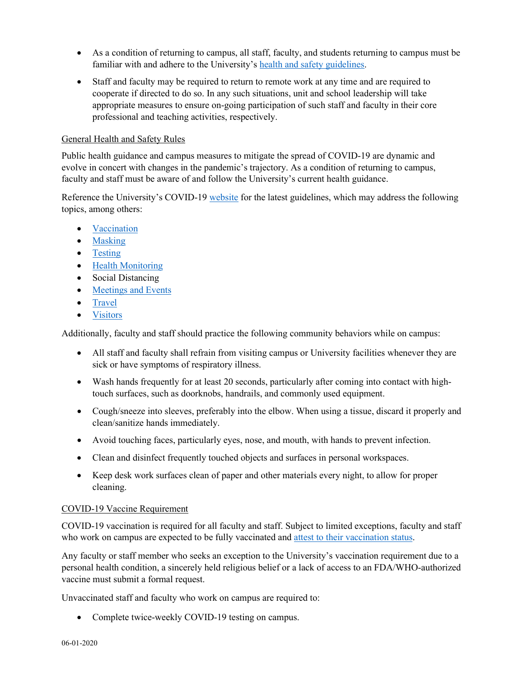- As a condition of returning to campus, all staff, faculty, and students returning to campus must be familiar with and adhere to the University's [health and safety guidelines.](https://www.northwestern.edu/coronavirus-covid-19-updates/university-status/expectations/guidelines/index.html)
- Staff and faculty may be required to return to remote work at any time and are required to cooperate if directed to do so. In any such situations, unit and school leadership will take appropriate measures to ensure on-going participation of such staff and faculty in their core professional and teaching activities, respectively.

### General Health and Safety Rules

Public health guidance and campus measures to mitigate the spread of COVID-19 are dynamic and evolve in concert with changes in the pandemic's trajectory. As a condition of returning to campus, faculty and staff must be aware of and follow the University's current health guidance.

Reference the University's COVID-19 [website](https://www.northwestern.edu/coronavirus-covid-19-updates/index.html) for the latest guidelines, which may address the following topics, among others:

- [Vaccination](https://www.northwestern.edu/coronavirus-covid-19-updates/health/vaccine/index.html)
- [Masking](https://www.northwestern.edu/coronavirus-covid-19-updates/university-status/expectations/guidelines/facemasks.html)
- [Testing](https://www.northwestern.edu/coronavirus-covid-19-updates/health/testing/index.html)
- [Health Monitoring](https://www.northwestern.edu/coronavirus-covid-19-updates/health/health-monitoring/index.html)
- Social Distancing
- [Meetings and Events](https://www.northwestern.edu/coronavirus-covid-19-updates/university-status/on-campus-activities/events.html)
- [Travel](https://www.northwestern.edu/coronavirus-covid-19-updates/university-status/travel.html)
- [Visitors](https://www.northwestern.edu/coronavirus-covid-19-updates/university-status/expectations/visitors/index.html)

Additionally, faculty and staff should practice the following community behaviors while on campus:

- All staff and faculty shall refrain from visiting campus or University facilities whenever they are sick or have symptoms of respiratory illness.
- Wash hands frequently for at least 20 seconds, particularly after coming into contact with hightouch surfaces, such as doorknobs, handrails, and commonly used equipment.
- Cough/sneeze into sleeves, preferably into the elbow. When using a tissue, discard it properly and clean/sanitize hands immediately.
- Avoid touching faces, particularly eyes, nose, and mouth, with hands to prevent infection.
- Clean and disinfect frequently touched objects and surfaces in personal workspaces.
- Keep desk work surfaces clean of paper and other materials every night, to allow for proper cleaning.

#### COVID-19 Vaccine Requirement

COVID-19 vaccination is required for all faculty and staff. Subject to limited exceptions, faculty and staff who work on campus are expected to be fully vaccinated and [attest to their vaccination status.](https://onbase-sso.northwestern.edu/generic-form/origami-redirect)

Any faculty or staff member who seeks an exception to the University's vaccination requirement due to a personal health condition, a sincerely held religious belief or a lack of access to an FDA/WHO-authorized vaccine must submit a formal request.

Unvaccinated staff and faculty who work on campus are required to:

Complete twice-weekly COVID-19 testing on campus.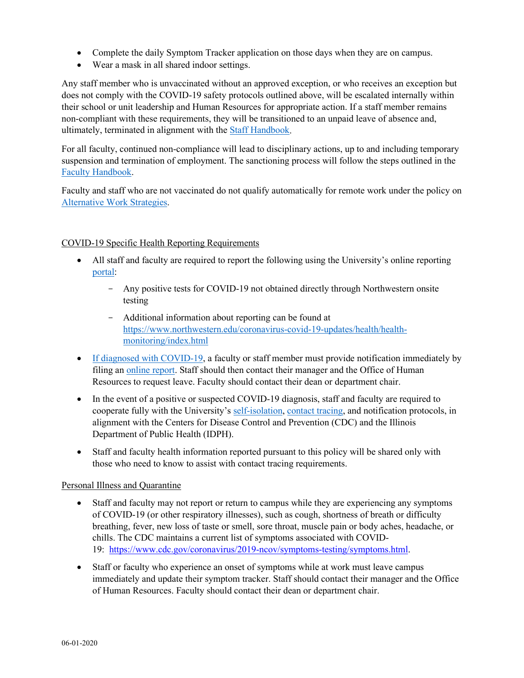- Complete the daily Symptom Tracker application on those days when they are on campus.
- Wear a mask in all shared indoor settings.

Any staff member who is unvaccinated without an approved exception, or who receives an exception but does not comply with the COVID-19 safety protocols outlined above, will be escalated internally within their school or unit leadership and Human Resources for appropriate action. If a staff member remains non-compliant with these requirements, they will be transitioned to an unpaid leave of absence and, ultimately, terminated in alignment with the [Staff Handbook.](https://www.northwestern.edu/hr/essentials/policies-procedures/staff-handbook.html)

For all faculty, continued non-compliance will lead to disciplinary actions, up to and including temporary suspension and termination of employment. The sanctioning process will follow the steps outlined in the [Faculty Handbook.](https://www.northwestern.edu/provost/faculty-resources/shared-governance/faculty-handbook.html)

Faculty and staff who are not vaccinated do not qualify automatically for remote work under the policy on [Alternative Work Strategies.](https://www.northwestern.edu/hr/benefits/work-life/flexible-work-arrangements/https:/www.northwestern.edu/hr/benefits/work-life/flexible-work-arrangements/)

#### COVID-19 Specific Health Reporting Requirements

- All staff and faculty are required to report the following using the University's online reporting [portal:](https://www.northwestern.edu/risk/)
	- Any positive tests for COVID-19 not obtained directly through Northwestern onsite testing
	- Additional information about reporting can be found at [https://www.northwestern.edu/coronavirus-covid-19-updates/health/health](https://www.northwestern.edu/coronavirus-covid-19-updates/health/health-monitoring/index.html)[monitoring/index.html](https://www.northwestern.edu/coronavirus-covid-19-updates/health/health-monitoring/index.html)
- [If diagnosed with COVID-19,](https://www.northwestern.edu/coronavirus-covid-19-updates/developments/confirmed-cases.html) a faculty or staff member must provide notification immediately by filing a[n online report.](https://www.northwestern.edu/risk/) Staff should then contact their manager and the Office of Human Resources to request leave. Faculty should contact their dean or department chair.
- In the event of a positive or suspected COVID-19 diagnosis, staff and faculty are required to cooperate fully with the University's [self-isolation,](https://www.northwestern.edu/coronavirus-covid-19-updates/self-isolation/index.html) [contact tracing,](https://www.northwestern.edu/coronavirus-covid-19-updates/health/contact-tracing.html) and notification protocols, in alignment with the Centers for Disease Control and Prevention (CDC) and the Illinois Department of Public Health (IDPH).
- Staff and faculty health information reported pursuant to this policy will be shared only with those who need to know to assist with contact tracing requirements.

#### Personal Illness and Quarantine

- Staff and faculty may not report or return to campus while they are experiencing any symptoms of COVID-19 (or other respiratory illnesses), such as cough, shortness of breath or difficulty breathing, fever, new loss of taste or smell, sore throat, muscle pain or body aches, headache, or chills. The CDC maintains a current list of symptoms associated with COVID-19: [https://www.cdc.gov/coronavirus/2019-ncov/symptoms-testing/symptoms.html.](https://www.cdc.gov/coronavirus/2019-ncov/symptoms-testing/symptoms.html)
- Staff or faculty who experience an onset of symptoms while at work must leave campus immediately and update their symptom tracker. Staff should contact their manager and the Office of Human Resources. Faculty should contact their dean or department chair.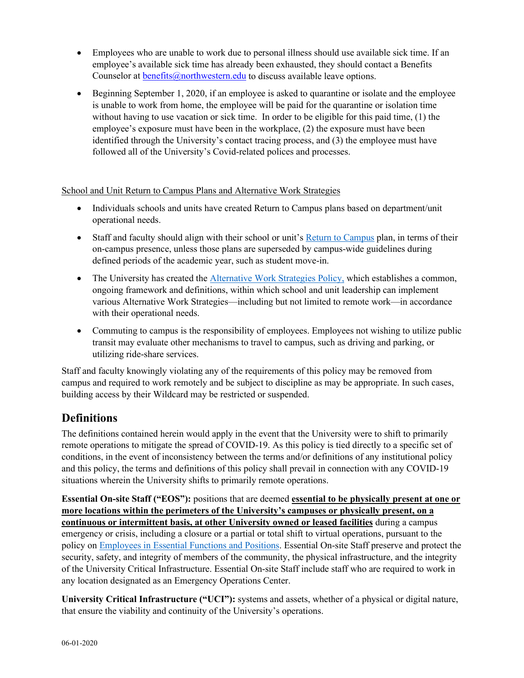- Employees who are unable to work due to personal illness should use available sick time. If an employee's available sick time has already been exhausted, they should contact a Benefits Counselor at benefits  $\widehat{\omega}$  northwestern.edu to discuss available leave options.
- Beginning September 1, 2020, if an employee is asked to quarantine or isolate and the employee is unable to work from home, the employee will be paid for the quarantine or isolation time without having to use vacation or sick time. In order to be eligible for this paid time, (1) the employee's exposure must have been in the workplace, (2) the exposure must have been identified through the University's contact tracing process, and (3) the employee must have followed all of the University's Covid-related polices and processes.

School and Unit Return to Campus Plans and Alternative Work Strategies

- Individuals schools and units have created Return to Campus plans based on department/unit operational needs.
- Staff and faculty should align with their school or unit's [Return to Campus](https://www.northwestern.edu/coronavirus-covid-19-updates/university-status/prepare/index.html) plan, in terms of their on-campus presence, unless those plans are superseded by campus-wide guidelines during defined periods of the academic year, such as student move-in.
- The University has created the [Alternative Work Strategies Policy,](https://www.northwestern.edu/hr/benefits/work-life/flexible-work-arrangements/index.html) which establishes a common, ongoing framework and definitions, within which school and unit leadership can implement various Alternative Work Strategies—including but not limited to remote work—in accordance with their operational needs.
- Commuting to campus is the responsibility of employees. Employees not wishing to utilize public transit may evaluate other mechanisms to travel to campus, such as driving and parking, or utilizing ride-share services.

Staff and faculty knowingly violating any of the requirements of this policy may be removed from campus and required to work remotely and be subject to discipline as may be appropriate. In such cases, building access by their Wildcard may be restricted or suspended.

# **Definitions**

The definitions contained herein would apply in the event that the University were to shift to primarily remote operations to mitigate the spread of COVID-19. As this policy is tied directly to a specific set of conditions, in the event of inconsistency between the terms and/or definitions of any institutional policy and this policy, the terms and definitions of this policy shall prevail in connection with any COVID-19 situations wherein the University shifts to primarily remote operations.

**Essential On-site Staff ("EOS"):** positions that are deemed **essential to be physically present at one or more locations within the perimeters of the University's campuses or physically present, on a continuous or intermittent basis, at other University owned or leased facilities** during a campus emergency or crisis, including a closure or a partial or total shift to virtual operations, pursuant to the policy on **Employees in Essential Functions and Positions**. Essential On-site Staff preserve and protect the security, safety, and integrity of members of the community, the physical infrastructure, and the integrity of the University Critical Infrastructure. Essential On-site Staff include staff who are required to work in any location designated as an Emergency Operations Center.

**University Critical Infrastructure ("UCI"):** systems and assets, whether of a physical or digital nature, that ensure the viability and continuity of the University's operations.